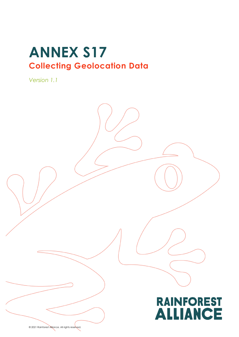# **ANNEX S17 Collecting Geolocation Data**

*Version 1.1*



© 2021 Rainforest Alliance. All rights reserved.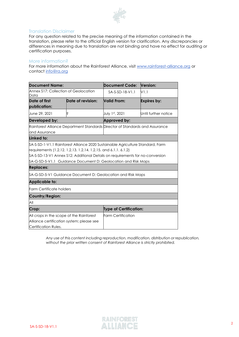

#### Translation Disclaimer

For any question related to the precise meaning of the information contained in the translation, please refer to the official English version for clarification. Any discrepancies or differences in meaning due to translation are not binding and have no effect for auditing or certification purposes.

#### More information?

For more information about the Rainforest Alliance, visit [www.rainforest-alliance.org](http://www.rainforest-alliance.org/) or contact [info@ra.org](mailto:info@ra.org)

| <b>Document Name:</b>                                                                                                                                                                                                                                                                                                       |                   | <b>Document Code:</b>         | Version:             |  |  |
|-----------------------------------------------------------------------------------------------------------------------------------------------------------------------------------------------------------------------------------------------------------------------------------------------------------------------------|-------------------|-------------------------------|----------------------|--|--|
| Annex \$17: Collection of Geolocation<br>Data                                                                                                                                                                                                                                                                               |                   | $SA-S-SD-18-V1.1$             | V1.1                 |  |  |
| Date of first<br>publication:                                                                                                                                                                                                                                                                                               | Date of revision: | Valid From:                   | Expires by:          |  |  |
| June 29, 2021                                                                                                                                                                                                                                                                                                               | S                 | July 1st, 2021                | Until further notice |  |  |
| Developed by:                                                                                                                                                                                                                                                                                                               |                   | Approved by:                  |                      |  |  |
| Rainforest Alliance Department Standards Director of Standards and Assurance<br>and Assurance                                                                                                                                                                                                                               |                   |                               |                      |  |  |
| Linked to:                                                                                                                                                                                                                                                                                                                  |                   |                               |                      |  |  |
| \$A-S-SD-1-V1.1 Rainforest Alliance 2020 Sustainable Agriculture Standard, Farm<br>requirements (1.2.12. 1.2.13. 1.2.14. 1.2.15. and 6.1.1. 6.1.2)<br>\$A-S-SD-13-V1 Annex \$12: Additional Details on requirements for no-conversion<br>\$A-G-SD-5-V1.1 Guidance Document D: Geolocation and Risk Maps<br><b>Replaces:</b> |                   |                               |                      |  |  |
| \$A-G-SD-5-V1 Guidance Document D: Geolocation and Risk Maps                                                                                                                                                                                                                                                                |                   |                               |                      |  |  |
| <b>Applicable to:</b>                                                                                                                                                                                                                                                                                                       |                   |                               |                      |  |  |
| Farm Certificate holders                                                                                                                                                                                                                                                                                                    |                   |                               |                      |  |  |
| Country/Region:                                                                                                                                                                                                                                                                                                             |                   |                               |                      |  |  |
| All                                                                                                                                                                                                                                                                                                                         |                   |                               |                      |  |  |
| Crop:                                                                                                                                                                                                                                                                                                                       |                   | <b>Type of Certification:</b> |                      |  |  |
| All crops in the scope of the Rainforest<br>Alliance certification system; please see<br>Certification Rules.                                                                                                                                                                                                               |                   | <b>Farm Certification</b>     |                      |  |  |

*Any use of this content including reproduction, modification, distribution or republication, without the prior written consent of Rainforest Alliance is strictly prohibited.*

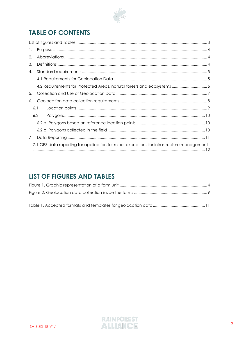

# **TABLE OF CONTENTS**

| 1. |     |                                                                                           |  |  |
|----|-----|-------------------------------------------------------------------------------------------|--|--|
| 2. |     |                                                                                           |  |  |
| 3. |     |                                                                                           |  |  |
| 4. |     |                                                                                           |  |  |
|    |     |                                                                                           |  |  |
|    |     | 4.2 Requirements for Protected Areas, natural forests and ecosystems 6                    |  |  |
| 5. |     |                                                                                           |  |  |
| 6. |     |                                                                                           |  |  |
|    | 6.1 |                                                                                           |  |  |
|    | 6.2 |                                                                                           |  |  |
|    |     |                                                                                           |  |  |
|    |     |                                                                                           |  |  |
| 7  |     |                                                                                           |  |  |
|    |     | 7.1 GPS data reporting for application for minor exceptions for infrastructure management |  |  |

### <span id="page-2-0"></span>**LIST OF FIGURES AND TABLES**

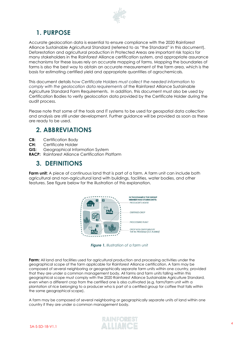

### <span id="page-3-0"></span>**1. PURPOSE**

Accurate geolocation data is essential to ensure compliance with the 2020 Rainforest Alliance Sustainable Agricultural Standard (referred to as "the Standard" in this document). Deforestation and agricultural production in Protected Areas are important risk topics for many stakeholders in the Rainforest Alliance certification system, and appropriate assurance mechanisms for these issues rely on accurate mapping of farms. Mapping the boundaries of farms is also the best way to obtain an accurate measurement of the farm area, which is the basis for estimating certified yield and appropriate quantities of agrochemicals.

This document details *how Certificate Holders must collect the needed information to comply with the geolocation data requirements* of the Rainforest Alliance Sustainable Agriculture Standard Farm Requirements. In addition, this document must also be used by Certification Bodies to verify geolocation data provided by the Certificate Holder during the audit process.

Please note that some of the tools and IT systems to be used for geospatial data collection and analysis are still under development. Further guidance will be provided as soon as these are ready to be used.

### <span id="page-3-1"></span>**2. ABBREVIATIONS**

- **CB:** Certification Body
- **CH:** Certificate Holder
- **GIS:** Geographical Information System
- **RACP:** Rainforest Alliance Certification Platform

### <span id="page-3-2"></span>**3. DEFINITIONS**

**Farm unit:** A piece of continuous land that is part of a farm. A farm unit can include both agricultural and non-agricultural land with buildings, facilities, water bodies, and other features. See figure below for the illustration of this explanation.



*Figure 1. Illustration of a farm unit*

<span id="page-3-3"></span>**Farm:** All land and facilities used for agricultural production and processing activities under the geographical scope of the farm applicable for Rainforest Alliance certification. A farm may be composed of several neighboring or geographically separate farm units within one country, provided that they are under a common management body. All farms and farm units falling within this geographical scope must comply with the 2020 Rainforest Alliance Sustainable Agriculture Standard, even when a different crop from the certified one is also cultivated (e.g. farm/farm unit with a plantation of rice belonging to a producer who is part of a certified group for coffee that falls within the same geographical scope).

A farm may be composed of several neighboring or geographically separate units of land within one country if they are under a common management body.

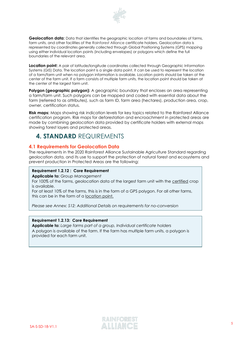

**Geolocation data:** Data that identifies the geographic location of farms and boundaries of farms, farm units, and other facilities of the Rainforest Alliance certificate holders. Geolocation data is represented by coordinates generally collected through Global Positioning Systems (GPS) mapping using either individual location points (including envelopes) or polygons which define the full boundaries of the relevant area.

**Location point:** A pair of latitude/longitude coordinates collected through Geographic Information Systems (*GIS*) Data. The location point is a single data point. It can be used to represent the location of a farm/farm unit when no polygon information is available. Location points should be taken at the center of the farm unit. If a farm consists of multiple farm units, the location point should be taken at the center of the largest farm unit.

**Polygon (geographic polygon):** A geographic boundary that encloses an area representing a farm/farm unit. Such polygons can be mapped and coded with essential data about the farm (referred to as attributes), such as farm ID, farm area (hectares), production area, crop, owner, certification status.

**Risk maps:** Maps showing risk indication levels for key topics related to the Rainforest Alliance certification program. Risk maps for deforestation and encroachment in protected areas are made by combining geolocation data provided by certificate holders with external maps showing forest layers and protected areas.

### <span id="page-4-0"></span>**4. STANDARD** REQUIREMENTS

#### <span id="page-4-1"></span>**4.1 Requirements for Geolocation Data**

The requirements in the 2020 Rainforest Alliance Sustainable Agriculture Standard regarding geolocation data, and its use to support the protection of natural forest and ecosystems and prevent production in Protected Areas are the following:

#### **Requirement 1.2.12 : Core Requirement**

**Applicable to:** *Group Management*

For 100% of the farms, geolocation data of the largest farm unit with the certified crop is available.

For at least 10% of the farms, this is in the form of a GPS polygon. For all other farms, this can be in the form of a location point.

*Please see Annex: S12: Additional Details on requirements for no-conversion*

#### **Requirement 1.2.13: Core Requirement**

**Applicable to:** *Large farms part of a group, Individual certificate holders* A polygon is available of the farm. If the farm has multiple farm units, a polygon is provided for each farm unit.

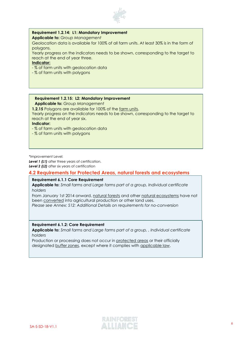

#### **Requirement 1.2.14: L1: Mandatory Improvement**

**Applicable to:** *Group Management* 

Geolocation data is available for 100% of all farm units. At least 30% is in the form of polygons.

Yearly progress on the indicators needs to be shown, corresponding to the target to reach at the end of year three.

#### **Indicator:**

- % of farm units with geolocation data
- % of farm units with polygons

#### **Requirement 1.2.15: L2: Mandatory Improvement**

**Applicable to:** *Group Management*

**1.2.15** Polygons are available for 100% of the farm units.

Yearly progress on the indicators needs to be shown, corresponding to the target to reach at the end of year six.

**Indicator:**

- % of farm units with geolocation data
- % of farm units with polygons

\*Improvement Level:

**Level 1 (L1)** after three years of certification. **Level 2 (L2)** after six years of certification

#### <span id="page-5-0"></span>**4.2 Requirements for Protected Areas, natural forests and ecosystems**

#### **Requirement 6.1.1 Core Requirement**

**Applicable to:** *Small farms and Large farms part of a group, Individual certificate holders*

From January 1st 2014 onward, natural forests and other natural ecosystems have not been converted into agricultural production or other land uses.

*Please see Annex: S12: Additional Details on requirements for no-conversion*

#### **Requirement 6.1.2: Core Requirement**

**Applicable to:** *Small farms and Large farms part of a group, , Individual certificate holders*

Production or processing does not occur in protected areas or their officially designated buffer zones, except where it complies with applicable law.

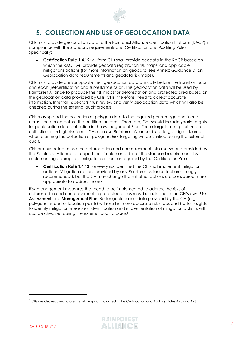

### <span id="page-6-0"></span>**5. COLLECTION AND USE OF GEOLOCATION DATA**

CHs must provide geolocation data to the Rainforest Alliance Certification Platform (RACP) in compliance with the Standard requirements and Certification and Auditing Rules. Specifically:

• **Certification Rule 1.4.12:** All farm CHs shall provide geodata in the RACP based on which the RACP will provide geodata registration risk maps, and applicable mitigations actions (for more information on geodata, see Annex: Guidance D: on Geolocation data requirements and geodata risk maps).

CHs must provide and/or update their geolocation data annually before the transition audit and each (re)certification and surveillance audit. This geolocation data will be used by Rainforest Alliance to produce the risk maps for deforestation and protected area based on the geolocation data provided by CHs. CHs, therefore, need to collect accurate information. Internal inspectors must review and verify geolocation data which will also be checked during the external audit process.

CHs may spread the collection of polygon data to the required percentage and format across the period before the certification audit. Therefore, CHs should include yearly targets for geolocation data collection in the Management Plan. These targets must prioritize data collection from high-risk farms. CHs can use Rainforest Alliance risk to target high-risk areas when planning the collection of polygons. Risk targeting will be verified during the external audit.

CHs are expected to use the deforestation and encroachment risk assessments provided by the Rainforest Alliance to support their implementation of the standard requirements by implementing appropriate mitigation actions as required by the Certification Rules:

• **Certification Rule 1.4.13** For every risk identified the CH shall implement mitigation actions. Mitigation actions provided by any Rainforest Alliance tool are strongly recommended, but the CH may change them if other actions are considered more appropriate to address the risk.

Risk management measures that need to be implemented to address the risks of deforestation and encroachment in protected areas must be included in the CH's own **Risk Assessment** and **Management Plan**. Better geolocation data provided by the CH (e.g. polygons instead of location points) will result in more accurate risk maps and better insights to identify mitigation measures. Identification and implementation of mitigation actions will also be checked during the external audit process<sup>1</sup>

<sup>&</sup>lt;sup>1</sup> CBs are also required to use the risk maps as indicated in the Certification and Auditing Rules AR5 and AR6

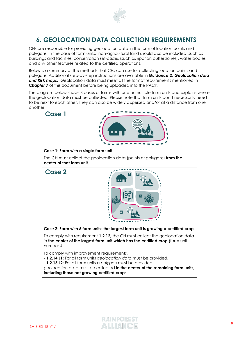

# <span id="page-7-0"></span>**6. GEOLOCATION DATA COLLECTION REQUIREMENTS**

CHs are responsible for providing geolocation data in the form of location points and polygons. In the case of farm units, non-agricultural land should also be included, such as buildings and facilities, conservation set-asides (such as riparian buffer zones), water bodies, and any other features related to the certified operations.

Below is a summary of the methods that CHs can use for collecting location points and polygons. Additional step-by-step instructions are available in *Guidance D: Geolocation data and Risk maps.* Geolocation data must meet all the format requirements mentioned in *Chapter 7* of this document before being uploaded into the RACP.

The diagram below shows 3 cases of farms with one or multiple farm units and explains where the geolocation data must be collected. Please note that farm units don't necessarily need to be next to each other. They can also be widely dispersed and/or at a distance from one another.



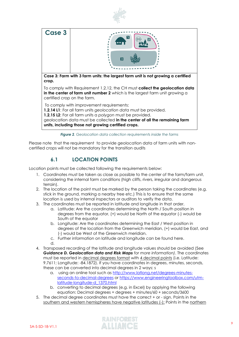



*Figure 2. Geolocation data collection requirements inside the farms*

<span id="page-8-1"></span>Please note that the requirement to provide geolocation data of farm units with noncertified crops will not be mandatory for the transition audits

### **6.1 LOCATION POINTS**

<span id="page-8-0"></span>Location points must be collected following the requirements below:

- 1. Coordinates must be taken as close as possible to the center of the farm/farm unit, considering the internal farm conditions (high cliffs, rivers, irregular and dangerous terrain).
- 2. The location of the point must be marked by the person taking the coordinates (e.g. stick in the ground, marking a nearby tree etc.) This is to ensure that the same location is used by internal inspectors or auditors to verify the data.
- 3. The coordinates must be reported in latitude and longitude in that order.
	- a. Latitude: Are the coordinates determining the North / South position in degrees from the equator, (+) would be North of the equator (-) would be South of the equator
	- b. Longitude: Are the coordinates determining the East / West position in degrees of the location from the Greenwich meridian, (+) would be East, and (-) would be West of the Greenwich meridian.
	- c. Further information on latitude and longitude can be found [here.](https://en.wikipedia.org/wiki/Geographic_coordinate_system#Latitude_and_longitude)
	- d.
- 4. Transposed recording of the latitude and longitude values should be avoided (See *Guidance D. Geolocation data and Risk Maps for more information)*. The coordinates must be reported in decimal degrees format with 4 decimal points (i.e. Latitude: 9.7611; Longitude: -84.1872). If you have coordinates in degrees, minutes, seconds, these can be converted into decimal degrees in 2 ways: s
	- a. using an online tool such as [http://www.latlong.net/degrees-minutes](http://www.latlong.net/degrees-minutes-seconds-to-decimal-degrees)[seconds-to-decimal-degrees](http://www.latlong.net/degrees-minutes-seconds-to-decimal-degrees) or [https://www.engineeringtoolbox.com/utm](https://www.engineeringtoolbox.com/utm-latitude-longitude-)[latitude-longitude-](https://www.engineeringtoolbox.com/utm-latitude-longitude-)[d\\_1370.html](https://www.engineeringtoolbox.com/utm-latitude-longitude-d_1370.html)
	- b. converting to decimal degrees (e.g. in Excel) by applying the following equation: Decimal degrees = degrees + minutes/60 + seconds/3600
- 5. The decimal degree coordinates must have the correct + or sign. Points in the southern and western hemispheres have negative latitudes (-); Points in the northern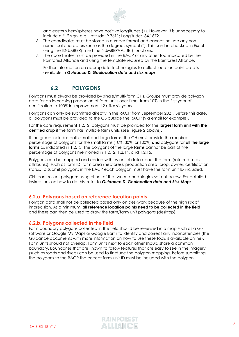

and eastern hemispheres have positive longitudes (+). However, it is unnecessary to include a "+" sign, e.g. Latitude: 9.7611; Longitude: -84.1872.

- 6. The coordinates must be stored in number format and cannot include any nonnumerical characters such as the degrees symbol (°). This can be checked in Excel using the ISNUMBER() and the NUMBERVALUE() functions.
- 7. The coordinates must be provided in the RACP or any other tool indicated by the Rainforest Alliance and using the template required by the Rainforest Alliance.

Further information on appropriate technologies to collect location point data is available in *Guidance D. Geolocation data and risk maps.*

### **6.2 POLYGONS**

<span id="page-9-0"></span>Polygons must always be provided by single/multi-farm CHs. Groups must provide polygon data for an increasing proportion of farm units over time, from 10% in the first year of certification to 100% in improvement L2 after six years.

Polygons can only be submitted directly in the RACP from September 2021. Before this date, all polygons must be provided to the CB outside the RACP (via email for example).

For the core requirement 1.2.12, polygons must be provided for the **largest farm unit with the certified crop** if the farm has multiple farm units (see [Figure 2](#page-8-1) above).

If the group includes both small and large farms, the CH must provide the required percentage of polygons for the small farms (10%, 30%, or 100%) **and** polygons for **all the large farms** as indicated in 1.2.13. The polygons of the large farms cannot be part of the percentage of polygons mentioned in 1.2.12, 1.2.14, and 1.2.15.

Polygons can be mapped and coded with essential data about the farm (referred to as attributes), such as farm ID, farm area (hectares), production area, crop, owner, certification status. To submit polygons in the RACP each polygon must have the farm unit ID included.

CHs can collect polygons using either of the two methodologies set out below. For detailed instructions on how to do this, refer to *Guidance D: Geolocation data and Risk Maps*:

#### <span id="page-9-1"></span>**6.2.a. Polygons based on reference location points**

Polygon data shall not be collected based only on deskwork because of the high risk of imprecision. As a minimum, **all reference location points need to be collected in the field,** and these can then be used to draw the farm/farm unit polygons (desktop).

#### <span id="page-9-2"></span>**6.2.b. Polygons collected in the field**

Farm boundary polygons collected in the field should be reviewed in a map such as a GIS software or Google My Maps or Google Earth to identify and correct any inconsistencies (the Guidance documents with more information on how to use these tools is available online). Farm units should not overlap. Farm units next to each other should share a common boundary. Boundaries that are known to follow features that are easy to see in the imagery (such as roads and rivers) can be used to finetune the polygon mapping. Before submitting the polygons to the RACP the correct farm unit ID must be included with the polygon.

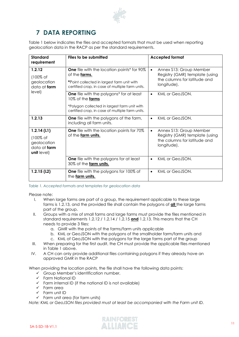

# <span id="page-10-0"></span>**7 DATA REPORTING**

[Table 1](#page-10-1) below indicates the files and accepted formats that must be used when reporting geolocation data in the RACP as per the standard requirements.

| Standard<br>requirement                                                     | Files to be submitted                                                                                                                                                  | <b>Accepted format</b>                                                                                                 |
|-----------------------------------------------------------------------------|------------------------------------------------------------------------------------------------------------------------------------------------------------------------|------------------------------------------------------------------------------------------------------------------------|
| 1.2.12<br>$(100\% \text{ of }$<br>geolocation<br>data at farm               | One file with the location points* for 90%<br>of the farms.<br>*Point collected in largest farm unit with<br>certified crop, in case of multiple farm units.           | Annex \$13: Group Member<br>$\bullet$<br>Registry (GMR) template (using<br>the columns for latitude and<br>longitude). |
| level)                                                                      | <b>One</b> file with the polygons* for at least<br>10% of the farms<br>*Polygon Collected in largest farm unit with<br>certified crop, in case of multiple farm units. | KML or GeoJSON.                                                                                                        |
| 1.2.13                                                                      | <b>One</b> file with the polygons of the farm,<br>including all farm units.                                                                                            | KML or GeoJSON.                                                                                                        |
| 1.2.14(L1)<br>(100% of<br>geolocation<br>data at farm<br><b>unit</b> level) | <b>One</b> file with the location points for 70%<br>of the farm units.                                                                                                 | Annex \$13: Group Member<br>$\bullet$<br>Registry (GMR) template (using<br>the columns for latitude and<br>longitude). |
|                                                                             | <b>One</b> file with the polygons for at least<br>30% of the farm units.                                                                                               | KML or GeoJSON.                                                                                                        |
| 1.2.15(L2)                                                                  | <b>One</b> file with the polygons for 100% of<br>the farm units.                                                                                                       | KML or GeoJSON.<br>$\bullet$                                                                                           |

<span id="page-10-1"></span>*Table 1. Accepted formats and templates for geolocation data*

Please note:

- I. When large farms are part of a group, the requirement applicable to these large farms is 1.2.13, and the provided file shall contain the polygons of **all** the large farms part of the group.
- II. Groups with a mix of small farms and large farms must provide the files mentioned in standard requirements 1.2.12 / 1.2.14 / 1.2.15 **and** 1.2.13. This means that the CH needs to provide 3 files:
	- a. GMR with the points of the farms/farm units applicable
	- b. KML or GeoJSON with the polygons of the smallholder farm/farm units and
	- c. KML of GeoJSON with the polygons for the large farms part of the group
- III. When preparing for the first audit, the CH must provide the applicable files mentioned in [Table 1](#page-10-1) above.
- IV. A CH can only provide additional files containing polygons if they already have an approved GMR in the RACP

When providing the location points, the file shall have the following data points:

- $\checkmark$  Group Member's identification number,
- $\checkmark$  Farm National ID
- $\checkmark$  Farm internal ID (if the national ID is not available)
- ✓ Farm area
- ✓ Farm unit ID
- $\checkmark$  Farm unit area (for farm units)

*Note: KML or GeoJSON files provided must at least be accompanied with the Farm unit ID.*